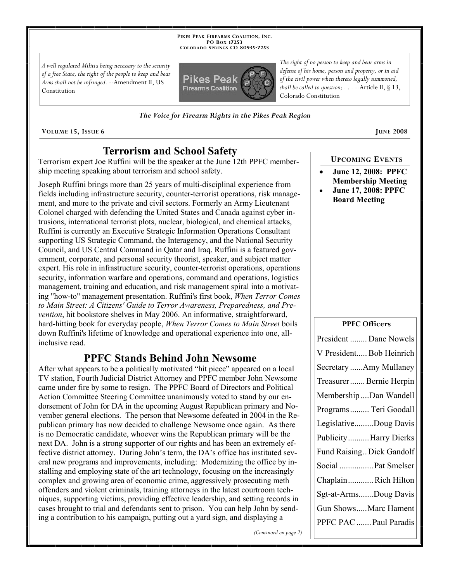**PIKES PEAK FIREARMS COALITION, INC. PO BOX 17253 COLORADO SPRINGS CO 80935 -7253**

*A well regulated Militia being necessary to the security of a free State, the right of the people to keep and bear Arms shall not be infringed.* --Amendment II, US Constitution



*The right of no person to keep and bear arms in defense of his home, person and property, or in aid of the civil power when thereto legally summoned, shall be called to question; . . .* --Article II, § 13, Colorado Constitution

*The Voice for Firearm Rights in the Pikes Peak Region*

**VOLUME** 15, ISSUE 6 **JUNE** 2008

# **Terrorism and School Safety**

Terrorism expert Joe Ruffini will be the speaker at the June 12th PPFC membership meeting speaking about terrorism and school safety.

Joseph Ruffini brings more than 25 years of multi-disciplinal experience from fields including infrastructure security, counter-terrorist operations, risk management, and more to the private and civil sectors. Formerly an Army Lieutenant Colonel charged with defending the United States and Canada against cyber intrusions, international terrorist plots, nuclear, biological, and chemical attacks, Ruffini is currently an Executive Strategic Information Operations Consultant supporting US Strategic Command, the Interagency, and the National Security Council, and US Central Command in Qatar and Iraq. Ruffini is a featured government, corporate, and personal security theorist, speaker, and subject matter expert. His role in infrastructure security, counter-terrorist operations, operations security, information warfare and operations, command and operations, logistics management, training and education, and risk management spiral into a motivating "how-to" management presentation. Ruffini's first book, *When Terror Comes to Main Street: A Citizens' Guide to Terror Awareness, Preparedness, and Prevention*, hit bookstore shelves in May 2006. An informative, straightforward, hard-hitting book for everyday people, *When Terror Comes to Main Street* boils down Ruffini's lifetime of knowledge and operational experience into one, allinclusive read.

## **PPFC Stands Behind John Newsome**

After what appears to be a politically motivated "hit piece" appeared on a local TV station, Fourth Judicial District Attorney and PPFC member John Newsome came under fire by some to resign. The PPFC Board of Directors and Political Action Committee Steering Committee unanimously voted to stand by our endorsement of John for DA in the upcoming August Republican primary and November general elections. The person that Newsome defeated in 2004 in the Republican primary has now decided to challenge Newsome once again. As there is no Democratic candidate, whoever wins the Republican primary will be the next DA. John is a strong supporter of our rights and has been an extremely effective district attorney. During John's term, the DA's office has instituted several new programs and improvements, including: Modernizing the office by installing and employing state of the art technology, focusing on the increasingly complex and growing area of economic crime, aggressively prosecuting meth offenders and violent criminals, training attorneys in the latest courtroom techniques, supporting victims, providing effective leadership, and setting records in cases brought to trial and defendants sent to prison. You can help John by sending a contribution to his campaign, putting out a yard sign, and displaying a

#### **UPCOMING EVENTS**

- **June 12, 2008: PPFC Membership Meeting**
- **June 17, 2008: PPFC Board Meeting**

#### **PPFC Officers**

| President  Dane Nowels    |
|---------------------------|
| V President Bob Heinrich  |
| Secretary Amy Mullaney    |
| Treasurer  Bernie Herpin  |
| Membership Dan Wandell    |
| Programs  Teri Goodall    |
| LegislativeDoug Davis     |
| Publicity Harry Dierks    |
| Fund Raising Dick Gandolf |
| Social  Pat Smelser       |
| ChaplainRich Hilton       |
| Sgt-at-ArmsDoug Davis     |
| Gun ShowsMarc Hament      |
| PPFC PAC  Paul Paradis    |
|                           |

*(Continued on page 2)*